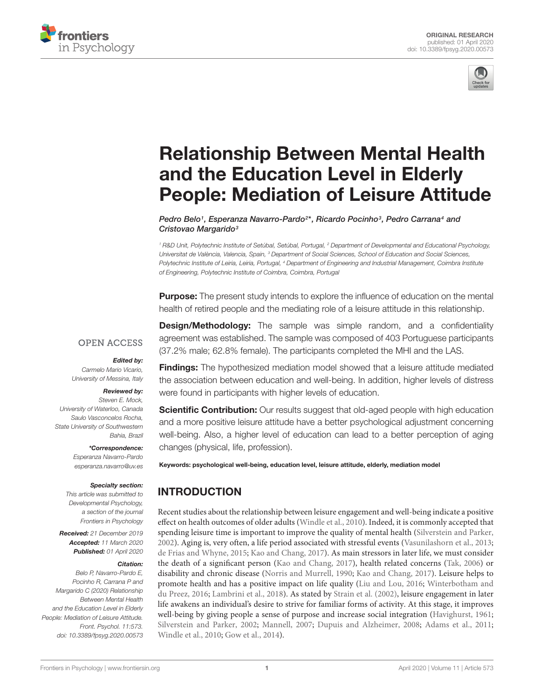



# Relationship Between Mental Health and the Education Level in Elderly [People: Mediation of Leisure Attitude](https://www.frontiersin.org/articles/10.3389/fpsyg.2020.00573/full)

[Pedro Belo](http://loop.frontiersin.org/people/908935/overview)1, [Esperanza Navarro-Pardo](http://loop.frontiersin.org/people/415703/overview)<sup>2\*</sup>, [Ricardo Pocinho](http://loop.frontiersin.org/people/932784/overview)<sup>3</sup>, [Pedro Carrana](http://loop.frontiersin.org/people/933178/overview)<sup>4</sup> and [Cristovao Margarido](http://loop.frontiersin.org/people/928751/overview)<sup>3</sup>

<sup>1</sup> R&D Unit, Polytechnic Institute of Setúbal, Setúbal, Portugal, <sup>2</sup> Department of Developmental and Educational Psychology, Universitat de València, Valencia, Spain, <sup>3</sup> Department of Social Sciences, School of Education and Social Sciences, Polytechnic Institute of Leiria, Leiria, Portugal, <sup>4</sup> Department of Engineering and Industrial Management, Coimbra Institute of Engineering, Polytechnic Institute of Coimbra, Coimbra, Portugal

**Purpose:** The present study intends to explore the influence of education on the mental health of retired people and the mediating role of a leisure attitude in this relationship.

**OPEN ACCESS** 

#### Edited by:

Carmelo Mario Vicario, University of Messina, Italy

## Reviewed by:

Steven E. Mock, University of Waterloo, Canada Saulo Vasconcelos Rocha, State University of Southwestern Bahia, Brazil

> \*Correspondence: Esperanza Navarro-Pardo

esperanza.navarro@uv.es

## Specialty section:

This article was submitted to Developmental Psychology, a section of the journal Frontiers in Psychology

Received: 21 December 2019 Accepted: 11 March 2020 Published: 01 April 2020

#### Citation:

Belo P, Navarro-Pardo E, Pocinho R, Carrana P and Margarido C (2020) Relationship Between Mental Health and the Education Level in Elderly People: Mediation of Leisure Attitude. Front. Psychol. 11:573. doi: [10.3389/fpsyg.2020.00573](https://doi.org/10.3389/fpsyg.2020.00573)

**Design/Methodology:** The sample was simple random, and a confidentiality agreement was established. The sample was composed of 403 Portuguese participants (37.2% male; 62.8% female). The participants completed the MHI and the LAS.

**Findings:** The hypothesized mediation model showed that a leisure attitude mediated the association between education and well-being. In addition, higher levels of distress were found in participants with higher levels of education.

**Scientific Contribution:** Our results suggest that old-aged people with high education and a more positive leisure attitude have a better psychological adjustment concerning well-being. Also, a higher level of education can lead to a better perception of aging changes (physical, life, profession).

Keywords: psychological well-being, education level, leisure attitude, elderly, mediation model

# **INTRODUCTION**

Recent studies about the relationship between leisure engagement and well-being indicate a positive effect on health outcomes of older adults [\(Windle et al.,](#page-6-0) [2010\)](#page-6-0). Indeed, it is commonly accepted that spending leisure time is important to improve the quality of mental health [\(Silverstein and Parker,](#page-6-1) [2002\)](#page-6-1). Aging is, very often, a life period associated with stressful events [\(Vasunilashorn et al.,](#page-6-2) [2013;](#page-6-2) [de Frias and Whyne,](#page-5-0) [2015;](#page-5-0) [Kao and Chang,](#page-5-1) [2017\)](#page-5-1). As main stressors in later life, we must consider the death of a significant person [\(Kao and Chang,](#page-5-1) [2017\)](#page-5-1), health related concerns [\(Tak,](#page-6-3) [2006\)](#page-6-3) or disability and chronic disease [\(Norris and Murrell,](#page-6-4) [1990;](#page-6-4) [Kao and Chang,](#page-5-1) [2017\)](#page-5-1). Leisure helps to promote health and has a positive impact on life quality [\(Liu and Lou,](#page-6-5) [2016;](#page-6-5) [Winterbotham and](#page-6-6) [du Preez,](#page-6-6) [2016;](#page-6-6) [Lambrini et al.,](#page-5-2) [2018\)](#page-5-2). As stated by [Strain et al.](#page-6-7) [\(2002\)](#page-6-7), leisure engagement in later life awakens an individual's desire to strive for familiar forms of activity. At this stage, it improves well-being by giving people a sense of purpose and increase social integration [\(Havighurst,](#page-5-3) [1961;](#page-5-3) [Silverstein and Parker,](#page-6-1) [2002;](#page-6-1) [Mannell,](#page-6-8) [2007;](#page-6-8) [Dupuis and Alzheimer,](#page-5-4) [2008;](#page-5-4) [Adams et al.,](#page-5-5) [2011;](#page-5-5) [Windle et al.,](#page-6-0) [2010;](#page-6-0) [Gow et al.,](#page-5-6) [2014\)](#page-5-6).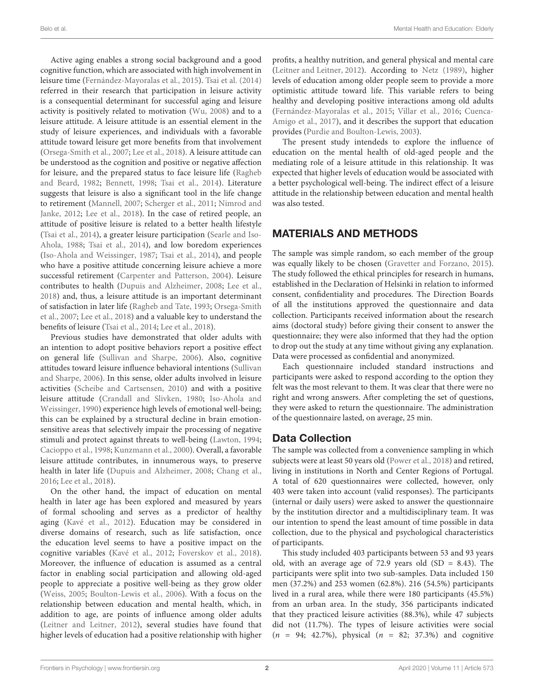Active aging enables a strong social background and a good cognitive function, which are associated with high involvement in leisure time [\(Fernández-Mayoralas et al.,](#page-5-7) [2015\)](#page-5-7). [Tsai et al.](#page-6-9) [\(2014\)](#page-6-9) referred in their research that participation in leisure activity is a consequential determinant for successful aging and leisure activity is positively related to motivation [\(Wu,](#page-6-10) [2008\)](#page-6-10) and to a leisure attitude. A leisure attitude is an essential element in the study of leisure experiences, and individuals with a favorable attitude toward leisure get more benefits from that involvement [\(Orsega-Smith et al.,](#page-6-11) [2007;](#page-6-11) [Lee et al.,](#page-6-12) [2018\)](#page-6-12). A leisure attitude can be understood as the cognition and positive or negative affection for leisure, and the prepared status to face leisure life [\(Ragheb](#page-6-13) [and Beard,](#page-6-13) [1982;](#page-6-13) [Bennett,](#page-5-8) [1998;](#page-5-8) [Tsai et al.,](#page-6-9) [2014\)](#page-6-9). Literature suggests that leisure is also a significant tool in the life change to retirement [\(Mannell,](#page-6-8) [2007;](#page-6-8) [Scherger et al.,](#page-6-14) [2011;](#page-6-14) [Nimrod and](#page-6-15) [Janke,](#page-6-15) [2012;](#page-6-15) [Lee et al.,](#page-6-12) [2018\)](#page-6-12). In the case of retired people, an attitude of positive leisure is related to a better health lifestyle [\(Tsai et al.,](#page-6-9) [2014\)](#page-6-9), a greater leisure participation [\(Searle and Iso-](#page-6-16)[Ahola,](#page-6-16) [1988;](#page-6-16) [Tsai et al.,](#page-6-9) [2014\)](#page-6-9), and low boredom experiences [\(Iso-Ahola and Weissinger,](#page-5-9) [1987;](#page-5-9) [Tsai et al.,](#page-6-9) [2014\)](#page-6-9), and people who have a positive attitude concerning leisure achieve a more successful retirement [\(Carpenter and Patterson,](#page-5-10) [2004\)](#page-5-10). Leisure contributes to health [\(Dupuis and Alzheimer,](#page-5-4) [2008;](#page-5-4) [Lee et al.,](#page-6-12) [2018\)](#page-6-12) and, thus, a leisure attitude is an important determinant of satisfaction in later life [\(Ragheb and Tate,](#page-6-17) [1993;](#page-6-17) [Orsega-Smith](#page-6-11) [et al.,](#page-6-11) [2007;](#page-6-11) [Lee et al.,](#page-6-12) [2018\)](#page-6-12) and a valuable key to understand the benefits of leisure [\(Tsai et al.,](#page-6-9) [2014;](#page-6-9) [Lee et al.,](#page-6-12) [2018\)](#page-6-12).

Previous studies have demonstrated that older adults with an intention to adopt positive behaviors report a positive effect on general life [\(Sullivan and Sharpe,](#page-6-18) [2006\)](#page-6-18). Also, cognitive attitudes toward leisure influence behavioral intentions [\(Sullivan](#page-6-18) [and Sharpe,](#page-6-18) [2006\)](#page-6-18). In this sense, older adults involved in leisure activities [\(Scheibe and Cartsensen,](#page-6-19) [2010\)](#page-6-19) and with a positive leisure attitude [\(Crandall and Slivken,](#page-5-11) [1980;](#page-5-11) [Iso-Ahola and](#page-5-12) [Weissinger,](#page-5-12) [1990\)](#page-5-12) experience high levels of emotional well-being; this can be explained by a structural decline in brain emotionsensitive areas that selectively impair the processing of negative stimuli and protect against threats to well-being [\(Lawton,](#page-6-20) [1994;](#page-6-20) [Cacioppo et al.,](#page-5-13) [1998;](#page-5-13) [Kunzmann et al.,](#page-5-14) [2000\)](#page-5-14). Overall, a favorable leisure attitude contributes, in innumerous ways, to preserve health in later life [\(Dupuis and Alzheimer,](#page-5-4) [2008;](#page-5-4) [Chang et al.,](#page-5-15) [2016;](#page-5-15) [Lee et al.,](#page-6-12) [2018\)](#page-6-12).

On the other hand, the impact of education on mental health in later age has been explored and measured by years of formal schooling and serves as a predictor of healthy aging [\(Kavé et al.,](#page-5-16) [2012\)](#page-5-16). Education may be considered in diverse domains of research, such as life satisfaction, once the education level seems to have a positive impact on the cognitive variables [\(Kavé et al.,](#page-5-16) [2012;](#page-5-16) [Foverskov et al.,](#page-5-17) [2018\)](#page-5-17). Moreover, the influence of education is assumed as a central factor in enabling social participation and allowing old-aged people to appreciate a positive well-being as they grow older [\(Weiss,](#page-6-21) [2005;](#page-6-21) [Boulton-Lewis et al.,](#page-5-18) [2006\)](#page-5-18). With a focus on the relationship between education and mental health, which, in addition to age, are points of influence among older adults [\(Leitner and Leitner,](#page-6-22) [2012\)](#page-6-22), several studies have found that higher levels of education had a positive relationship with higher

profits, a healthy nutrition, and general physical and mental care [\(Leitner and Leitner,](#page-6-22) [2012\)](#page-6-22). According to [Netz](#page-6-23) [\(1989\)](#page-6-23), higher levels of education among older people seem to provide a more optimistic attitude toward life. This variable refers to being healthy and developing positive interactions among old adults [\(Fernández-Mayoralas et al.,](#page-5-7) [2015;](#page-5-7) [Villar et al.,](#page-6-24) [2016;](#page-6-24) [Cuenca-](#page-5-19)[Amigo et al.,](#page-5-19) [2017\)](#page-5-19), and it describes the support that education provides [\(Purdie and Boulton-Lewis,](#page-6-25) [2003\)](#page-6-25).

The present study intendeds to explore the influence of education on the mental health of old-aged people and the mediating role of a leisure attitude in this relationship. It was expected that higher levels of education would be associated with a better psychological well-being. The indirect effect of a leisure attitude in the relationship between education and mental health was also tested.

# MATERIALS AND METHODS

The sample was simple random, so each member of the group was equally likely to be chosen [\(Gravetter and Forzano,](#page-5-20) [2015\)](#page-5-20). The study followed the ethical principles for research in humans, established in the Declaration of Helsinki in relation to informed consent, confidentiality and procedures. The Direction Boards of all the institutions approved the questionnaire and data collection. Participants received information about the research aims (doctoral study) before giving their consent to answer the questionnaire; they were also informed that they had the option to drop out the study at any time without giving any explanation. Data were processed as confidential and anonymized.

Each questionnaire included standard instructions and participants were asked to respond according to the option they felt was the most relevant to them. It was clear that there were no right and wrong answers. After completing the set of questions, they were asked to return the questionnaire. The administration of the questionnaire lasted, on average, 25 min.

## Data Collection

The sample was collected from a convenience sampling in which subjects were at least 50 years old [\(Power et al.,](#page-6-26) [2018\)](#page-6-26) and retired, living in institutions in North and Center Regions of Portugal. A total of 620 questionnaires were collected, however, only 403 were taken into account (valid responses). The participants (internal or daily users) were asked to answer the questionnaire by the institution director and a multidisciplinary team. It was our intention to spend the least amount of time possible in data collection, due to the physical and psychological characteristics of participants.

This study included 403 participants between 53 and 93 years old, with an average age of 72.9 years old (SD = 8.43). The participants were split into two sub-samples. Data included 150 men (37.2%) and 253 women (62.8%). 216 (54.5%) participants lived in a rural area, while there were 180 participants (45.5%) from an urban area. In the study, 356 participants indicated that they practiced leisure activities (88.3%), while 47 subjects did not (11.7%). The types of leisure activities were social  $(n = 94; 42.7\%)$ , physical  $(n = 82; 37.3\%)$  and cognitive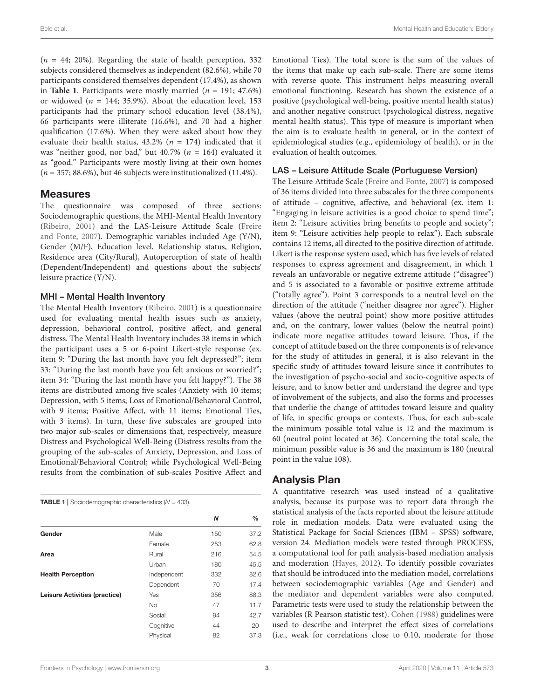$(n = 44; 20\%)$ . Regarding the state of health perception, 332 subjects considered themselves as independent (82.6%), while 70 participants considered themselves dependent (17.4%), as shown in **[Table 1](#page-2-0)**. Participants were mostly married  $(n = 191; 47.6\%)$ or widowed ( $n = 144$ ; 35.9%). About the education level, 153 participants had the primary school education level (38.4%), 66 participants were illiterate (16.6%), and 70 had a higher qualification (17.6%). When they were asked about how they evaluate their health status,  $43.2\%$  ( $n = 174$ ) indicated that it was "neither good, nor bad," but 40.7% ( $n = 164$ ) evaluated it as "good." Participants were mostly living at their own homes  $(n = 357; 88.6\%)$ , but 46 subjects were institutionalized (11.4%).

## **Measures**

The questionnaire was composed of three sections: Sociodemographic questions, the MHI-Mental Health Inventory [\(Ribeiro,](#page-6-27) [2001\)](#page-6-27) and the LAS-Leisure Attitude Scale [\(Freire](#page-5-21) [and Fonte,](#page-5-21) [2007\)](#page-5-21). Demographic variables included Age (Y/N), Gender (M/F), Education level, Relationship status, Religion, Residence area (City/Rural), Autoperception of state of health (Dependent/Independent) and questions about the subjects' leisure practice (Y/N).

## MHI – Mental Health Inventory

The Mental Health Inventory [\(Ribeiro,](#page-6-27) [2001\)](#page-6-27) is a questionnaire used for evaluating mental health issues such as anxiety, depression, behavioral control, positive affect, and general distress. The Mental Health Inventory includes 38 items in which the participant uses a 5 or 6-point Likert-style response (ex. item 9: "During the last month have you felt depressed?"; item 33: "During the last month have you felt anxious or worried?"; item 34: "During the last month have you felt happy?"). The 38 items are distributed among five scales (Anxiety with 10 items; Depression, with 5 items; Loss of Emotional/Behavioral Control, with 9 items; Positive Affect, with 11 items; Emotional Ties, with 3 items). In turn, these five subscales are grouped into two major sub-scales or dimensions that, respectively, measure Distress and Psychological Well-Being (Distress results from the grouping of the sub-scales of Anxiety, Depression, and Loss of Emotional/Behavioral Control; while Psychological Well-Being results from the combination of sub-scales Positive Affect and

<span id="page-2-0"></span>

| <b>TABLE 1</b> Sociodemographic characteristics $(N = 403)$ . |
|---------------------------------------------------------------|
|---------------------------------------------------------------|

|                               |             | Ν   | %    |
|-------------------------------|-------------|-----|------|
| Gender                        | Male        | 150 | 37.2 |
|                               | Female      | 253 | 62.8 |
| Area                          | Rural       | 216 | 54.5 |
|                               | Urban       | 180 | 45.5 |
| <b>Health Perception</b>      | Independent | 332 | 82.6 |
|                               | Dependent   | 70  | 17.4 |
| Leisure Activities (practice) | Yes         | 356 | 88.3 |
|                               | <b>No</b>   | 47  | 11.7 |
|                               | Social      | 94  | 42.7 |
|                               | Cognitive   | 44  | 20   |
|                               | Physical    | 82  | 37.3 |
|                               |             |     |      |

Emotional Ties). The total score is the sum of the values of the items that make up each sub-scale. There are some items with reverse quote. This instrument helps measuring overall emotional functioning. Research has shown the existence of a positive (psychological well-being, positive mental health status) and another negative construct (psychological distress, negative mental health status). This type of measure is important when the aim is to evaluate health in general, or in the context of epidemiological studies (e.g., epidemiology of health), or in the evaluation of health outcomes.

#### LAS – Leisure Attitude Scale (Portuguese Version)

The Leisure Attitude Scale [\(Freire and Fonte,](#page-5-21) [2007\)](#page-5-21) is composed of 36 items divided into three subscales for the three components of attitude – cognitive, affective, and behavioral (ex. item 1: "Engaging in leisure activities is a good choice to spend time"; item 2: "Leisure activities bring benefits to people and society"; item 9: "Leisure activities help people to relax"). Each subscale contains 12 items, all directed to the positive direction of attitude. Likert is the response system used, which has five levels of related responses to express agreement and disagreement, in which 1 reveals an unfavorable or negative extreme attitude ("disagree") and 5 is associated to a favorable or positive extreme attitude ("totally agree"). Point 3 corresponds to a neutral level on the direction of the attitude ("neither disagree nor agree"). Higher values (above the neutral point) show more positive attitudes and, on the contrary, lower values (below the neutral point) indicate more negative attitudes toward leisure. Thus, if the concept of attitude based on the three components is of relevance for the study of attitudes in general, it is also relevant in the specific study of attitudes toward leisure since it contributes to the investigation of psycho-social and socio-cognitive aspects of leisure, and to know better and understand the degree and type of involvement of the subjects, and also the forms and processes that underlie the change of attitudes toward leisure and quality of life, in specific groups or contexts. Thus, for each sub-scale the minimum possible total value is 12 and the maximum is 60 (neutral point located at 36). Concerning the total scale, the minimum possible value is 36 and the maximum is 180 (neutral point in the value 108).

## Analysis Plan

A quantitative research was used instead of a qualitative analysis, because its purpose was to report data through the statistical analysis of the facts reported about the leisure attitude role in mediation models. Data were evaluated using the Statistical Package for Social Sciences (IBM – SPSS) software, version 24. Mediation models were tested through PROCESS, a computational tool for path analysis-based mediation analysis and moderation [\(Hayes,](#page-5-22) [2012\)](#page-5-22). To identify possible covariates that should be introduced into the mediation model, correlations between sociodemographic variables (Age and Gender) and the mediator and dependent variables were also computed. Parametric tests were used to study the relationship between the variables (R Pearson statistic test). [Cohen](#page-5-23) [\(1988\)](#page-5-23) guidelines were used to describe and interpret the effect sizes of correlations (i.e., weak for correlations close to 0.10, moderate for those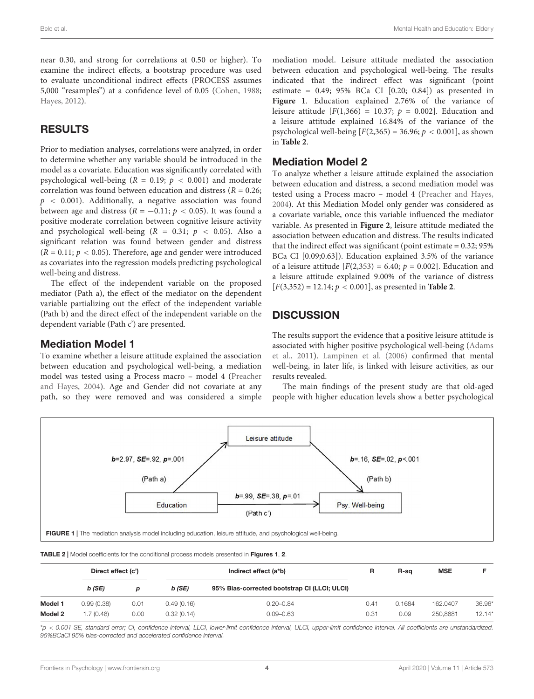near 0.30, and strong for correlations at 0.50 or higher). To examine the indirect effects, a bootstrap procedure was used to evaluate unconditional indirect effects (PROCESS assumes 5,000 "resamples") at a confidence level of 0.05 [\(Cohen,](#page-5-23) [1988;](#page-5-23) [Hayes,](#page-5-22) [2012\)](#page-5-22).

## RESULTS

Prior to mediation analyses, correlations were analyzed, in order to determine whether any variable should be introduced in the model as a covariate. Education was significantly correlated with psychological well-being ( $R = 0.19$ ;  $p < 0.001$ ) and moderate correlation was found between education and distress ( $R = 0.26$ ;  $p \sim 0.001$ ). Additionally, a negative association was found between age and distress ( $R = -0.11$ ;  $p < 0.05$ ). It was found a positive moderate correlation between cognitive leisure activity and psychological well-being ( $R = 0.31$ ;  $p < 0.05$ ). Also a significant relation was found between gender and distress  $(R = 0.11; p < 0.05)$ . Therefore, age and gender were introduced as covariates into the regression models predicting psychological well-being and distress.

The effect of the independent variable on the proposed mediator (Path a), the effect of the mediator on the dependent variable partializing out the effect of the independent variable (Path b) and the direct effect of the independent variable on the dependent variable (Path c') are presented.

## Mediation Model 1

To examine whether a leisure attitude explained the association between education and psychological well-being, a mediation model was tested using a Process macro – model 4 [\(Preacher](#page-6-28) [and Hayes,](#page-6-28) [2004\)](#page-6-28). Age and Gender did not covariate at any path, so they were removed and was considered a simple mediation model. Leisure attitude mediated the association between education and psychological well-being. The results indicated that the indirect effect was significant (point estimate =  $0.49$ ;  $95\%$  BCa CI  $[0.20; 0.84]$  as presented in **[Figure 1](#page-3-0)**. Education explained 2.76% of the variance of leisure attitude  $[F(1,366) = 10.37; p = 0.002]$ . Education and a leisure attitude explained 16.84% of the variance of the psychological well-being  $[F(2,365) = 36.96; p < 0.001]$ , as shown in **[Table 2](#page-3-1)**.

## Mediation Model 2

To analyze whether a leisure attitude explained the association between education and distress, a second mediation model was tested using a Process macro – model 4 [\(Preacher and Hayes,](#page-6-28) [2004\)](#page-6-28). At this Mediation Model only gender was considered as a covariate variable, once this variable influenced the mediator variable. As presented in **[Figure 2](#page-4-0)**, leisure attitude mediated the association between education and distress. The results indicated that the indirect effect was significant (point estimate  $= 0.32$ ; 95% BCa CI [0.09;0.63]). Education explained 3.5% of the variance of a leisure attitude  $[F(2,353) = 6.40; p = 0.002]$ . Education and a leisure attitude explained 9.00% of the variance of distress [F(3,352) = 12.14; p < 0.001], as presented in **[Table 2](#page-3-1)**.

# **DISCUSSION**

The results support the evidence that a positive leisure attitude is associated with higher positive psychological well-being [\(Adams](#page-5-5) [et al.,](#page-5-5) [2011\)](#page-5-5). [Lampinen et al.](#page-5-24) [\(2006\)](#page-5-24) confirmed that mental well-being, in later life, is linked with leisure activities, as our results revealed.

The main findings of the present study are that old-aged people with higher education levels show a better psychological



<span id="page-3-1"></span><span id="page-3-0"></span>TABLE 2 | Model coefficients for the conditional process models presented in [Figures 1](#page-3-0), [2](#page-4-0).

|         | Direct effect (c') |      | Indirect effect (a*b) |                                              | R    | R-sa   | <b>MSE</b> |        |
|---------|--------------------|------|-----------------------|----------------------------------------------|------|--------|------------|--------|
|         | $b$ (SE)           | D    | $b$ (SE)              | 95% Bias-corrected bootstrap CI (LLCI; ULCI) |      |        |            |        |
| Model 1 | 0.99(0.38)         | 0.01 | 0.49(0.16)            | $0.20 - 0.84$                                | 0.41 | 0.1684 | 162.0407   | 36.96' |
| Model 2 | .7(0.48)           | 0.00 | 0.32(0.14)            | $0.09 - 0.63$                                | 0.31 | 0.09   | 250.8681   | 12.14' |

\*p < 0.001 SE, standard error; CI, confidence interval, LLCI, lower-limit confidence interval, ULCI, upper-limit confidence interval. All coefficients are unstandardized. 95%BCaCI 95% bias-corrected and accelerated confidence interval.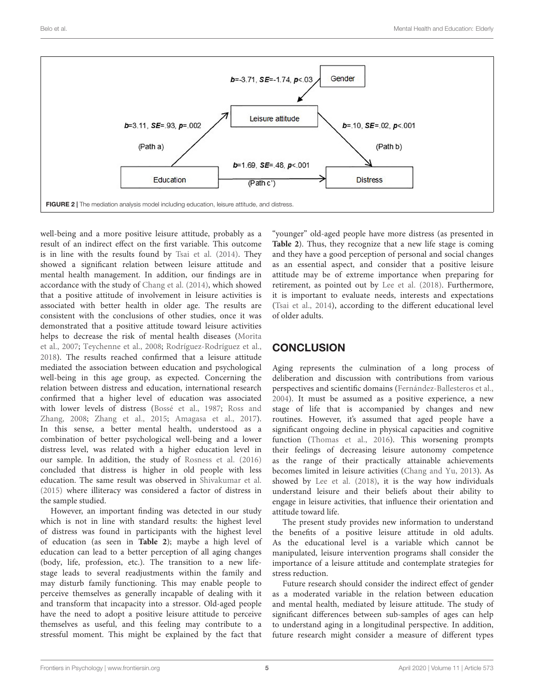

<span id="page-4-0"></span>well-being and a more positive leisure attitude, probably as a result of an indirect effect on the first variable. This outcome is in line with the results found by [Tsai et al.](#page-6-9) [\(2014\)](#page-6-9). They showed a significant relation between leisure attitude and mental health management. In addition, our findings are in accordance with the study of [Chang et al.](#page-5-25) [\(2014\)](#page-5-25), which showed that a positive attitude of involvement in leisure activities is associated with better health in older age. The results are consistent with the conclusions of other studies, once it was demonstrated that a positive attitude toward leisure activities helps to decrease the risk of mental health diseases [\(Morita](#page-6-29) [et al.,](#page-6-29) [2007;](#page-6-29) [Teychenne et al.,](#page-6-30) [2008;](#page-6-30) [Rodríguez-Rodríguez et al.,](#page-6-31) [2018\)](#page-6-31). The results reached confirmed that a leisure attitude mediated the association between education and psychological well-being in this age group, as expected. Concerning the relation between distress and education, international research confirmed that a higher level of education was associated with lower levels of distress [\(Bossé et al.,](#page-5-26) [1987;](#page-5-26) [Ross and](#page-6-32) [Zhang,](#page-6-32) [2008;](#page-6-32) [Zhang et al.,](#page-6-33) [2015;](#page-6-33) [Amagasa et al.,](#page-5-27) [2017\)](#page-5-27). In this sense, a better mental health, understood as a combination of better psychological well-being and a lower distress level, was related with a higher education level in our sample. In addition, the study of [Rosness et al.](#page-6-34) [\(2016\)](#page-6-34) concluded that distress is higher in old people with less education. The same result was observed in [Shivakumar et al.](#page-6-35) [\(2015\)](#page-6-35) where illiteracy was considered a factor of distress in the sample studied.

However, an important finding was detected in our study which is not in line with standard results: the highest level of distress was found in participants with the highest level of education (as seen in **[Table 2](#page-3-1)**); maybe a high level of education can lead to a better perception of all aging changes (body, life, profession, etc.). The transition to a new lifestage leads to several readjustments within the family and may disturb family functioning. This may enable people to perceive themselves as generally incapable of dealing with it and transform that incapacity into a stressor. Old-aged people have the need to adopt a positive leisure attitude to perceive themselves as useful, and this feeling may contribute to a stressful moment. This might be explained by the fact that

"younger" old-aged people have more distress (as presented in **[Table 2](#page-3-1)**). Thus, they recognize that a new life stage is coming and they have a good perception of personal and social changes as an essential aspect, and consider that a positive leisure attitude may be of extreme importance when preparing for retirement, as pointed out by [Lee et al.](#page-6-12) [\(2018\)](#page-6-12). Furthermore, it is important to evaluate needs, interests and expectations [\(Tsai et al.,](#page-6-9) [2014\)](#page-6-9), according to the different educational level of older adults.

# **CONCLUSION**

Aging represents the culmination of a long process of deliberation and discussion with contributions from various perspectives and scientific domains [\(Fernández-Ballesteros et al.,](#page-5-28) [2004\)](#page-5-28). It must be assumed as a positive experience, a new stage of life that is accompanied by changes and new routines. However, it's assumed that aged people have a significant ongoing decline in physical capacities and cognitive function [\(Thomas et al.,](#page-6-36) [2016\)](#page-6-36). This worsening prompts their feelings of decreasing leisure autonomy competence as the range of their practically attainable achievements becomes limited in leisure activities [\(Chang and Yu,](#page-5-29) [2013\)](#page-5-29). As showed by [Lee et al.](#page-6-12) [\(2018\)](#page-6-12), it is the way how individuals understand leisure and their beliefs about their ability to engage in leisure activities, that influence their orientation and attitude toward life.

The present study provides new information to understand the benefits of a positive leisure attitude in old adults. As the educational level is a variable which cannot be manipulated, leisure intervention programs shall consider the importance of a leisure attitude and contemplate strategies for stress reduction.

Future research should consider the indirect effect of gender as a moderated variable in the relation between education and mental health, mediated by leisure attitude. The study of significant differences between sub-samples of ages can help to understand aging in a longitudinal perspective. In addition, future research might consider a measure of different types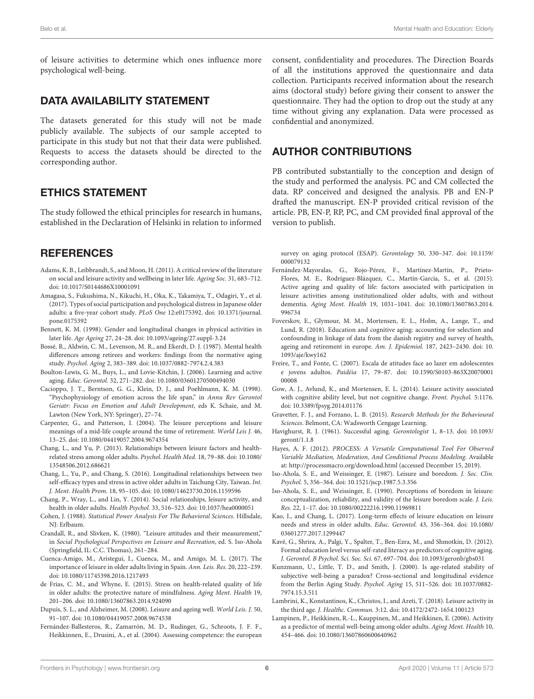of leisure activities to determine which ones influence more psychological well-being.

## DATA AVAILABILITY STATEMENT

The datasets generated for this study will not be made publicly available. The subjects of our sample accepted to participate in this study but not that their data were published. Requests to access the datasets should be directed to the corresponding author.

# ETHICS STATEMENT

The study followed the ethical principles for research in humans, established in the Declaration of Helsinki in relation to informed

# **REFERENCES**

- <span id="page-5-5"></span>Adams, K. B., Leibbrandt, S., and Moon, H. (2011). A critical review of the literature on social and leisure activity and wellbeing in later life. Ageing Soc. 31, 683–712. [doi: 10.1017/S0144686X10001091](https://doi.org/10.1017/S0144686X10001091)
- <span id="page-5-27"></span>Amagasa, S., Fukushima, N., Kikuchi, H., Oka, K., Takamiya, T., Odagiri, Y., et al. (2017). Types of social participation and psychological distress in Japanese older adults: a five-year cohort study. PLoS One 12:e0175392. [doi: 10.1371/journal.](https://doi.org/10.1371/journal.pone.0175392) [pone.0175392](https://doi.org/10.1371/journal.pone.0175392)
- <span id="page-5-8"></span>Bennett, K. M. (1998). Gender and longitudinal changes in physical activities in later life. Age Ageing 27, 24–28. [doi: 10.1093/ageing/27.suppl-3.24](https://doi.org/10.1093/ageing/27.suppl-3.24)
- <span id="page-5-26"></span>Bossé, R., Aldwin, C. M., Levenson, M. R., and Ekerdt, D. J. (1987). Mental health differences among retirees and workers: findings from the normative aging study. Psychol. Aging 2, 383–389. [doi: 10.1037/0882-7974.2.4.383](https://doi.org/10.1037/0882-7974.2.4.383)
- <span id="page-5-18"></span>Boulton-Lewis, G. M., Buys, L., and Lovie-Kitchin, J. (2006). Learning and active aging. Educ. Gerontol. 32, 271–282. [doi: 10.1080/03601270500494030](https://doi.org/10.1080/03601270500494030)
- <span id="page-5-13"></span>Cacioppo, J. T., Berntson, G. G., Klein, D. J., and Poehlmann, K. M. (1998). "Psychophysiology of emotion across the life span," in Annu Rev Gerontol Geriatr: Focus on Emotion and Adult Development, eds K. Schaie, and M. Lawton (New York, NY: Springer), 27–74.
- <span id="page-5-10"></span>Carpenter, G., and Patterson, I. (2004). The leisure perceptions and leisure meanings of a mid-life couple around the time of retirement. World Leis J. 46, 13–25. [doi: 10.1080/04419057.2004.9674354](https://doi.org/10.1080/04419057.2004.9674354)
- <span id="page-5-29"></span>Chang, L., and Yu, P. (2013). Relationships between leisure factors and healthrelated stress among older adults. Psychol. Health Med. 18, 79–88. [doi: 10.1080/](https://doi.org/10.1080/13548506.2012.686621) [13548506.2012.686621](https://doi.org/10.1080/13548506.2012.686621)
- <span id="page-5-15"></span>Chang, L., Yu, P., and Chang, S. (2016). Longitudinal relationships between two self-efficacy types and stress in active older adults in Taichung City, Taiwan. Int. J. Ment. Health Prom. 18, 95–105. [doi: 10.1080/14623730.2016.1159596](https://doi.org/10.1080/14623730.2016.1159596)
- <span id="page-5-25"></span>Chang, P., Wray, L., and Lin, Y. (2014). Social relationships, leisure activity, and health in older adults. Health Psychol. 33, 516–523. [doi: 10.1037/hea0000051](https://doi.org/10.1037/hea0000051)
- <span id="page-5-23"></span>Cohen, J. (1988). Statistical Power Analysis For The Behavioral Sciences. Hillsdale, NJ: Erlbaum.
- <span id="page-5-11"></span>Crandall, R., and Slivken, K. (1980). "Leisure attitudes and their measurement," in Social Psychological Perspectives on Leisure and Recreation, ed. S. Iso-Ahola (Springfield, IL: C.C. Thomas), 261–284.
- <span id="page-5-19"></span>Cuenca-Amigo, M., Aristegui, I., Cuenca, M., and Amigo, M. L. (2017). The importance of leisure in older adults living in Spain. Ann. Leis. Res. 20, 222–239. [doi: 10.1080/11745398.2016.1217493](https://doi.org/10.1080/11745398.2016.1217493)
- <span id="page-5-0"></span>de Frias, C. M., and Whyne, E. (2015). Stress on health-related quality of life in older adults: the protective nature of mindfulness. Aging Ment. Health 19, 201–206. [doi: 10.1080/13607863.2014.924090](https://doi.org/10.1080/13607863.2014.924090)
- <span id="page-5-4"></span>Dupuis, S. L., and Alzheimer, M. (2008). Leisure and ageing well. World Leis. J. 50, 91–107. [doi: 10.1080/04419057.2008.9674538](https://doi.org/10.1080/04419057.2008.9674538)
- <span id="page-5-28"></span>Fernández-Ballesteros, R., Zamarrón, M. D., Rudinger, G., Schroots, J. F. F., Heikkinnen, E., Drusini, A., et al. (2004). Assessing competence: the european

consent, confidentiality and procedures. The Direction Boards of all the institutions approved the questionnaire and data collection. Participants received information about the research aims (doctoral study) before giving their consent to answer the questionnaire. They had the option to drop out the study at any time without giving any explanation. Data were processed as confidential and anonymized.

## AUTHOR CONTRIBUTIONS

PB contributed substantially to the conception and design of the study and performed the analysis. PC and CM collected the data. RP conceived and designed the analysis. PB and EN-P drafted the manuscript. EN-P provided critical revision of the article. PB, EN-P, RP, PC, and CM provided final approval of the version to publish.

survey on aging protocol (ESAP). Gerontology 50, 330–347. [doi: 10.1159/](https://doi.org/10.1159/000079132) [000079132](https://doi.org/10.1159/000079132)

- <span id="page-5-7"></span>Fernández-Mayoralas, G., Rojo-Pérez, F., Martínez-Martín, P., Prieto-Flores, M. E., Rodríguez-Blázquez, C., Martín-García, S., et al. (2015). Active ageing and quality of life: factors associated with participation in leisure activities among institutionalized older adults, with and without dementia. Aging Ment. Health 19, 1031–1041. [doi: 10.1080/13607863.2014.](https://doi.org/10.1080/13607863.2014.996734) [996734](https://doi.org/10.1080/13607863.2014.996734)
- <span id="page-5-17"></span>Foverskov, E., Glymour, M. M., Mortensen, E. L., Holm, A., Lange, T., and Lund, R. (2018). Education and cognitive aging: accounting for selection and confounding in linkage of data from the danish registry and survey of health, ageing and retirement in europe. Am. J. Epidemiol. 187, 2423–2430. [doi: 10.](https://doi.org/10.1093/aje/kwy162) [1093/aje/kwy162](https://doi.org/10.1093/aje/kwy162)
- <span id="page-5-21"></span>Freire, T., and Fonte, C. (2007). Escala de atitudes face ao lazer em adolescentes e jovens adultos. Paidéia 17, 79–87. [doi: 10.1590/S0103-863X20070001](https://doi.org/10.1590/S0103-863X2007000100008) [00008](https://doi.org/10.1590/S0103-863X2007000100008)
- <span id="page-5-6"></span>Gow, A. J., Avlund, K., and Mortensen, E. L. (2014). Leisure activity associated with cognitive ability level, but not cognitive change. Front. Psychol. 5:1176. [doi: 10.3389/fpsyg.2014.01176](https://doi.org/10.3389/fpsyg.2014.01176)
- <span id="page-5-20"></span>Gravetter, F. J., and Forzano, L. B. (2015). Research Methods for the Behavioural Sciences. Belmont, CA: Wadsworth Cengage Learning.
- <span id="page-5-3"></span>Havighurst, R. J. (1961). Successful aging. Gerontologist 1, 8–13. [doi: 10.1093/](https://doi.org/10.1093/geront/1.1.8) [geront/1.1.8](https://doi.org/10.1093/geront/1.1.8)
- <span id="page-5-22"></span>Hayes, A. F. (2012). PROCESS: A Versatile Computational Tool For Observed Variable Mediation, Moderation, And Conditional Process Modeling. Available at: <http://processmacro.org/download.html> (accessed December 15, 2019).
- <span id="page-5-9"></span>Iso-Ahola, S. E., and Weissinger, E. (1987). Leisure and boredom. J. Soc. Clin. Psychol. 5, 356–364. [doi: 10.1521/jscp.1987.5.3.356](https://doi.org/10.1521/jscp.1987.5.3.356)
- <span id="page-5-12"></span>Iso-Ahola, S. E., and Weissinger, E. (1990). Perceptions of boredom in leisure: conceptualization, reliability, and validity of the leisure boredom scale. J. Leis. Res. 22, 1–17. [doi: 10.1080/00222216.1990.11969811](https://doi.org/10.1080/00222216.1990.11969811)
- <span id="page-5-1"></span>Kao, I., and Chang, L. (2017). Long-term effects of leisure education on leisure needs and stress in older adults. Educ. Gerontol. 43, 356–364. [doi: 10.1080/](https://doi.org/10.1080/03601277.2017.1299447) [03601277.2017.1299447](https://doi.org/10.1080/03601277.2017.1299447)
- <span id="page-5-16"></span>Kavé, G., Shrira, A., Palgi, Y., Spalter, T., Ben-Ezra, M., and Shmotkin, D. (2012). Formal education level versus self-rated literacy as predictors of cognitive aging. J. Gerontol. B Psychol. Sci. Soc. Sci. 67, 697–704. [doi: 10.1093/geronb/gbs031](https://doi.org/10.1093/geronb/gbs031)
- <span id="page-5-14"></span>Kunzmann, U., Little, T. D., and Smith, J. (2000). Is age-related stability of subjective well-being a paradox? Cross-sectional and longitudinal evidence from the Berlin Aging Study. Psychol. Aging 15, 511–526. [doi: 10.1037/0882-](https://doi.org/10.1037/0882-7974.15.3.511) [7974.15.3.511](https://doi.org/10.1037/0882-7974.15.3.511)
- <span id="page-5-2"></span>Lambrini, K., Konstantinos, K., Christos, I., and Areti, T. (2018). Leisure activity in the third age. J. Healthc. Commun. 3:12. [doi: 10.4172/2472-1654.100123](https://doi.org/10.4172/2472-1654.100123)
- <span id="page-5-24"></span>Lampinen, P., Heikkinen, R.-L., Kauppinen, M., and Heikkinen, E. (2006). Activity as a predictor of mental well-being among older adults. Aging Ment. Health 10, 454–466. [doi: 10.1080/13607860600640962](https://doi.org/10.1080/13607860600640962)